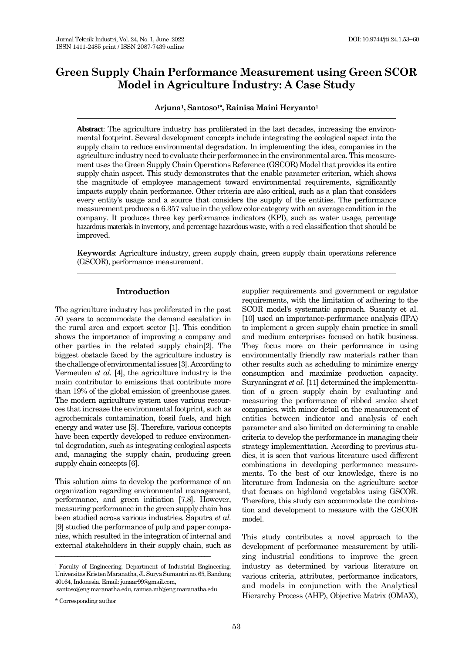# **Green Supply Chain Performance Measurement using Green SCOR Model in Agriculture Industry: A Case Study**

**Arjuna1, Santoso1\*, Rainisa Maini Heryanto<sup>1</sup>**

**Abstract**: The agriculture industry has proliferated in the last decades, increasing the environmental footprint. Several development concepts include integrating the ecological aspect into the supply chain to reduce environmental degradation. In implementing the idea, companies in the agriculture industry need to evaluate their performance in the environmental area. This measurement uses the Green Supply Chain Operations Reference (GSCOR) Model that provides its entire supply chain aspect. This study demonstrates that the enable parameter criterion, which shows the magnitude of employee management toward environmental requirements, significantly impacts supply chain performance. Other criteria are also critical, such as a plan that considers every entity's usage and a source that considers the supply of the entities. The performance measurement produces a 6.357 value in the yellow color category with an average condition in the company. It produces three key performance indicators (KPI), such as water usage, percentage hazardous materials in inventory, and percentage hazardous waste, with a red classification that should be improved.

**Keywords**: Agriculture industry, green supply chain, green supply chain operations reference (GSCOR), performance measurement.

## **Introduction**

The agriculture industry has proliferated in the past 50 years to accommodate the demand escalation in the rural area and export sector [\[1\]](#page-6-0). This condition shows the importance of improving a company and other parties in the related supply chain[\[2\]](#page-6-1). The biggest obstacle faced by the agriculture industry is the challenge of environmental issues [\[3\]](#page-6-2). According to Vermeulen *et al.* [\[4\]](#page-6-3), the agriculture industry is the main contributor to emissions that contribute more than 19% of the global emission of greenhouse gases. The modern agriculture system uses various resources that increase the environmental footprint, such as agrochemicals contamination, fossil fuels, and high energy and water use [\[5\]](#page-6-4). Therefore, various concepts have been expertly developed to reduce environmental degradation, such as integrating ecological aspects and, managing the supply chain, producing green supply chain concepts [\[6\]](#page-6-5).

This solution aims to develop the performance of an organization regarding environmental management, performance, and green initiation [\[7](#page-6-6)[,8\]](#page-6-7). However, measuring performance in the green supply chain has been studied across various industries. Saputra *et al.* [\[9\]](#page-6-8) studied the performance of pulp and paper companies, which resulted in the integration of internal and external stakeholders in their supply chain, such as

<sup>1</sup> Faculty of Engineering, Department of Industrial Engineering, Universitas Kristen Maranatha, Jl. Surya Sumantri no. 65, Bandung 40164, Indonesia. Email: junaar99@gmail.com,

santoso@eng.maranatha.edu, rainisa.mh@eng.maranatha.edu

\_\_\_\_\_\_\_\_\_\_\_\_\_\_\_\_\_\_\_\_\_\_\_\_\_\_\_\_\_\_\_\_\_\_\_\_\_\_\_\_\_\_\_\_\_\_\_\_\_

supplier requirements and government or regulator requirements, with the limitation of adhering to the SCOR model's systematic approach. Susanty et al. [\[10\]](#page-6-9) used an importance-performance analysis (IPA) to implement a green supply chain practice in small and medium enterprises focused on batik business. They focus more on their performance in using environmentally friendly raw materials rather than other results such as scheduling to minimize energy consumption and maximize production capacity. Suryaningrat *et al.* [\[11\]](#page-6-10) determined the implementtation of a green supply chain by evaluating and measuring the performance of ribbed smoke sheet companies, with minor detail on the measurement of entities between indicator and analysis of each parameter and also limited on determining to enable criteria to develop the performance in managing their strategy implementtation. According to previous studies, it is seen that various literature used different combinations in developing performance measurements. To the best of our knowledge, there is no literature from Indonesia on the agriculture sector that focuses on highland vegetables using GSCOR. Therefore, this study can accommodate the combination and development to measure with the GSCOR model.

This study contributes a novel approach to the development of performance measurement by utilizing industrial conditions to improve the green industry as determined by various literature on various criteria, attributes, performance indicators, and models in conjunction with the Analytical Hierarchy Process (AHP), Objective Matrix (OMAX),

<sup>\*</sup> Corresponding author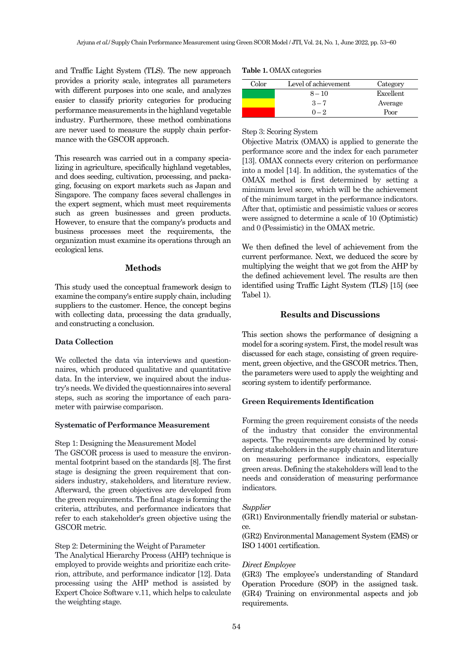and Traffic Light System (TLS). The new approach provides a priority scale, integrates all parameters with different purposes into one scale, and analyzes easier to classify priority categories for producing performance measurements in the highland vegetable industry. Furthermore, these method combinations are never used to measure the supply chain performance with the GSCOR approach.

This research was carried out in a company specializing in agriculture, specifically highland vegetables, and does seeding, cultivation, processing, and packaging, focusing on export markets such as Japan and Singapore. The company faces several challenges in the expert segment, which must meet requirements such as green businesses and green products. However, to ensure that the company's products and business processes meet the requirements, the organization must examine its operations through an ecological lens.

## **Methods**

This study used the conceptual framework design to examine the company's entire supply chain, including suppliers to the customer. Hence, the concept begins with collecting data, processing the data gradually, and constructing a conclusion.

## **Data Collection**

We collected the data via interviews and questionnaires, which produced qualitative and quantitative data. In the interview, we inquired about the industry's needs. We divided the questionnaires into several steps, such as scoring the importance of each parameter with pairwise comparison.

## **Systematic of Performance Measurement**

Step 1: Designing the Measurement Model

The GSCOR process is used to measure the environmental footprint based on the standards [\[8\]](#page-6-7). The first stage is designing the green requirement that considers industry, stakeholders, and literature review. Afterward, the green objectives are developed from the green requirements. The final stage is forming the criteria, attributes, and performance indicators that refer to each stakeholder's green objective using the GSCOR metric.

## Step 2: Determining the Weight of Parameter

The Analytical Hierarchy Process (AHP) technique is employed to provide weights and prioritize each criterion, attribute, and performance indicator [\[12\]](#page-6-11). Data processing using the AHP method is assisted by Expert Choice Software v.11, which helps to calculate the weighting stage.

|  |  | <b>Table 1. OMAX</b> categories |
|--|--|---------------------------------|
|--|--|---------------------------------|

| Color | Level of achievement | Category  |
|-------|----------------------|-----------|
|       | $8 - 10$             | Excellent |
|       | $3 - 7$              | Average   |
|       | $0 - 2$              | Poor      |

### Step 3: Scoring System

Objective Matrix (OMAX) is applied to generate the performance score and the index for each parameter [\[13\]](#page-6-12). OMAX connects every criterion on performance into a model [\[14\]](#page-6-13). In addition, the systematics of the OMAX method is first determined by setting a minimum level score, which will be the achievement of the minimum target in the performance indicators. After that, optimistic and pessimistic values or scores were assigned to determine a scale of 10 (Optimistic) and 0 (Pessimistic) in the OMAX metric.

We then defined the level of achievement from the current performance. Next, we deduced the score by multiplying the weight that we got from the AHP by the defined achievement level. The results are then identified using Traffic Light System (TLS) [\[15\]](#page-6-14) (see Tabel 1).

## **Results and Discussions**

This section shows the performance of designing a model for a scoring system. First, the model result was discussed for each stage, consisting of green requirement, green objective, and the GSCOR metrics. Then, the parameters were used to apply the weighting and scoring system to identify performance.

## **Green Requirements Identification**

Forming the green requirement consists of the needs of the industry that consider the environmental aspects. The requirements are determined by considering stakeholders in the supply chain and literature on measuring performance indicators, especially green areas. Defining the stakeholders will lead to the needs and consideration of measuring performance indicators.

## *Supplier*

(GR1) Environmentally friendly material or substance.

(GR2) Environmental Management System (EMS) or ISO 14001 certification.

## *Direct Employee*

(GR3) The employee's understanding of Standard Operation Procedure (SOP) in the assigned task. (GR4) Training on environmental aspects and job requirements.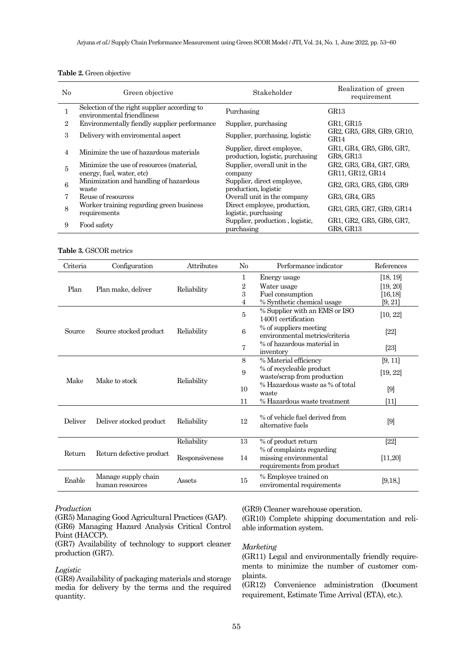| $\rm No$       | Green objective                                                            | Stakeholder                                                    | Realization of green<br>requirement          |
|----------------|----------------------------------------------------------------------------|----------------------------------------------------------------|----------------------------------------------|
|                | Selection of the right supplier according to<br>environmental friendliness | Purchasing                                                     | GR <sub>13</sub>                             |
| $\overline{2}$ | Environmentally fiendly supplier performance                               | Supplier, purchasing                                           | GR1, GR15                                    |
| 3              | Delivery with enviromental aspect                                          | Supplier, purchasing, logistic                                 | GR2, GR5, GR8, GR9, GR10,<br>GR14            |
| 4              | Minimize the use of hazardous materials                                    | Supplier, direct employee,<br>production, logistic, purchasing | GR1, GR4, GR5, GR6, GR7,<br>GR8, GR13        |
| 5              | Minimize the use of resources (material,<br>energy, fuel, water, etc)      | Supplier, overall unit in the<br>company                       | GR2, GR3, GR4, GR7, GR9,<br>GR11, GR12, GR14 |
| 6              | Minimization and handling of hazardous<br>waste                            | Supplier, direct employee,<br>production, logistic             | GR2, GR3, GR5, GR6, GR9                      |
| 7              | Reuse of resources                                                         | Overall unit in the company                                    | GR3, GR4, GR5                                |
| 8              | Worker training regarding green business<br>requirements                   | Direct employee, production,<br>logistic, purchasing           | GR3, GR5, GR7, GR9, GR14                     |
| 9              | Food safety                                                                | Supplier, production, logistic,<br>purchasing                  | GR1, GR2, GR5, GR6, GR7,<br>GR8, GR13        |

## **Table 2.** Green objective

#### **Table 3.** GSCOR metrics

| Criteria | Configuration                          | Attributes     | No             | Performance indicator                                                           | References |
|----------|----------------------------------------|----------------|----------------|---------------------------------------------------------------------------------|------------|
|          |                                        |                | 1              | Energy usage                                                                    | [18, 19]   |
| Plan     | Plan make, deliver                     | Reliability    | 2              | Water usage                                                                     | [19, 20]   |
|          |                                        |                | 3              | Fuel consumption                                                                | [16, 18]   |
|          |                                        |                | 4              | % Synthetic chemical usage                                                      | [9, 21]    |
|          |                                        |                | 5              | % Supplier with an EMS or ISO<br>14001 certification                            | [10, 22]   |
| Source   | Source stocked product                 | Reliability    | 6              | % of suppliers meeting<br>environmental metrics/criteria                        | $[22]$     |
|          |                                        |                | $\overline{7}$ | % of hazardous material in<br>inventory                                         | $[23]$     |
|          | Make to stock                          | Reliability    | 8              | % Material efficiency                                                           | [9, 11]    |
| Make     |                                        |                | 9              | % of recycleable product<br>waste/scrap from production                         | [19, 22]   |
|          |                                        |                | 10             | % Hazardous waste as % of total<br>waste                                        | $[9]$      |
|          |                                        |                | 11             | % Hazardous waste treatment                                                     | [11]       |
| Deliver  | Deliver stocked product                | Reliability    | 12             | % of vehicle fuel derived from<br>alternative fuels                             | $[9]$      |
|          |                                        | Reliability    | 13             | % of product return                                                             | $[22]$     |
| Return   | Return defective product               | Responsiveness | 14             | % of complaints regarding<br>missing environmental<br>requirements from product | [11, 20]   |
| Enable   | Manage supply chain<br>human resources | Assets         | 15             | % Employee trained on<br>enviromental requirements                              | [9, 18]    |

#### *Production*

(GR5) Managing Good Agricultural Practices (GAP). (GR6) Managing Hazard Analysis Critical Control Point (HACCP).

(GR7) Availability of technology to support cleaner production (GR7).

#### *Logistic*

(GR8) Availability of packaging materials and storage media for delivery by the terms and the required quantity.

(GR9) Cleaner warehouse operation.

(GR10) Complete shipping documentation and reliable information system.

## *Marketing*

(GR11) Legal and environmentally friendly requirements to minimize the number of customer complaints.

(GR12) Convenience administration (Document requirement, Estimate Time Arrival (ETA), etc.).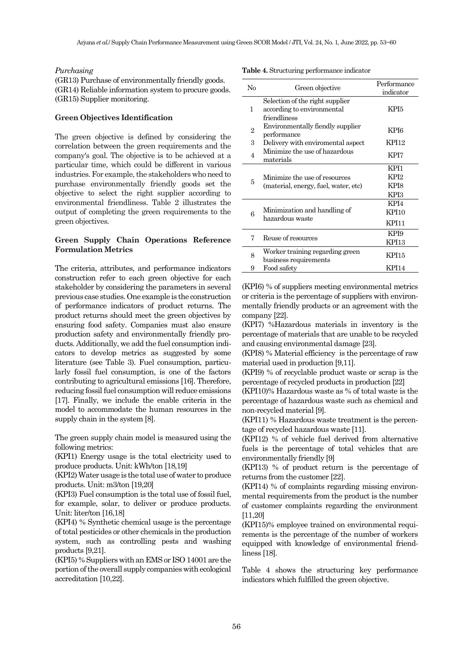#### *Purchasing*

(GR13) Purchase of environmentally friendly goods. (GR14) Reliable information system to procure goods. (GR15) Supplier monitoring.

## **Green Objectives Identification**

The green objective is defined by considering the correlation between the green requirements and the company's goal. The objective is to be achieved at a particular time, which could be different in various industries. For example, the stakeholders who need to purchase environmentally friendly goods set the objective to select the right supplier according to environmental friendliness. Table 2 illustrates the output of completing the green requirements to the green objectives.

## **Green Supply Chain Operations Reference Formulation Metrics**

The criteria, attributes, and performance indicators construction refer to each green objective for each stakeholder by considering the parameters in several previous case studies. One example is the construction of performance indicators of product returns. The product returns should meet the green objectives by ensuring food safety. Companies must also ensure production safety and environmentally friendly products. Additionally, we add the fuel consumption indicators to develop metrics as suggested by some literature (see Table 3). Fuel consumption, particularly fossil fuel consumption, is one of the factors contributing to agricultural emissions [\[16\]](#page-6-17). Therefore, reducing fossil fuel consumption will reduce emissions [\[17\]](#page-6-22). Finally, we include the enable criteria in the model to accommodate the human resources in the supply chain in the system [\[8\]](#page-6-7).

The green supply chain model is measured using the following metrics:

(KPI1) Energy usage is the total electricity used to produce products. Unit: kWh/ton [\[18,](#page-6-18)[19\]](#page-6-15)

(KPI2) Water usage is the total use of water to produce products. Unit: m3/ton [\[19](#page-6-15)[,20\]](#page-6-16)

(KPI3) Fuel consumption is the total use of fossil fuel, for example, solar, to deliver or produce products. Unit: liter/ton [\[16](#page-6-17)[,18\]](#page-6-18)

(KPI4) % Synthetic chemical usage is the percentage of total pesticides or other chemicals in the production system, such as controlling pests and washing products [\[9](#page-6-8)[,21\]](#page-6-19).

(KPI5) % Suppliers with an EMS or ISO 14001 are the portion of the overall supply companies with ecological accreditation [\[10](#page-6-9)[,22\]](#page-6-20).

| No | Green objective                                                               | Performance<br>indicator |
|----|-------------------------------------------------------------------------------|--------------------------|
| 1  | Selection of the right supplier<br>according to environmental<br>friendliness | KPI5                     |
| 2  | Environmentally fiendly supplier<br>performance                               | KPI6                     |
| 3  | Delivery with enviromental aspect                                             | KPI <sub>12</sub>        |
| 4  | Minimize the use of hazardous<br>materials                                    | KPI7                     |
|    |                                                                               | KPI1                     |
| 5  | Minimize the use of resources                                                 | KPI <sub>2</sub>         |
|    | (material, energy, fuel, water, etc)                                          | KP <sub>I</sub> 8        |
|    |                                                                               | KPI3                     |
|    |                                                                               | KPI4                     |
| 6  | Minimization and handling of                                                  | KPI10                    |
|    | hazardous waste                                                               | <b>KPI11</b>             |
| 7  | Reuse of resources                                                            | KPI9                     |
|    |                                                                               | KPI13                    |
| 8  | Worker training regarding green<br>business requirements                      | KPI15                    |
| 9  | Food safety                                                                   | KPI14                    |

(KPI6) % of suppliers meeting environmental metrics or criteria is the percentage of suppliers with environmentally friendly products or an agreement with the company [\[22\]](#page-6-20).

(KPI7) %Hazardous materials in inventory is the percentage of materials that are unable to be recycled and causing environmental damage [\[23\]](#page-6-21).

(KPI8) % Material efficiency is the percentage of raw material used in production [\[9](#page-6-8)[,11\]](#page-6-10).

(KPI9) % of recyclable product waste or scrap is the percentage of recycled products in production [\[22\]](#page-6-20)

(KPI10)% Hazardous waste as % of total waste is the percentage of hazardous waste such as chemical and non-recycled material [\[9\]](#page-6-8).

(KPI11) % Hazardous waste treatment is the percentage of recycled hazardous waste [\[11\]](#page-6-10).

(KPI12) % of vehicle fuel derived from alternative fuels is the percentage of total vehicles that are environmentally friendly [\[9\]](#page-6-8)

(KPI13) % of product return is the percentage of returns from the customer [\[22\]](#page-6-20).

(KPI14) % of complaints regarding missing environmental requirements from the product is the number of customer complaints regarding the environment [\[11](#page-6-10)[,20\]](#page-6-16)

(KPI15)% employee trained on environmental requirements is the percentage of the number of workers equipped with knowledge of environmental friendliness [\[18\]](#page-6-18).

Table 4 shows the structuring key performance indicators which fulfilled the green objective.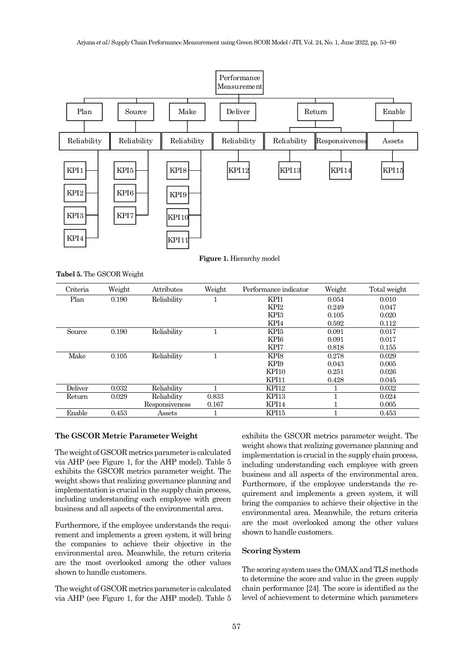

**Figure 1.** Hierarchy model

**Tabel 5.** The GSCOR Weight

| Criteria | Weight | Attributes     | Weight | Performance indicator | Weight | Total weight |
|----------|--------|----------------|--------|-----------------------|--------|--------------|
| Plan     | 0.190  | Reliability    |        | KPI1                  | 0.054  | 0.010        |
|          |        |                |        | KPI <sub>2</sub>      | 0.249  | 0.047        |
|          |        |                |        | KPI3                  | 0.105  | 0.020        |
|          |        |                |        | KPI4                  | 0.592  | 0.112        |
| Source   | 0.190  | Reliability    |        | KPI5                  | 0.091  | 0.017        |
|          |        |                |        | KP <sub>I6</sub>      | 0.091  | 0.017        |
|          |        |                |        | KPI7                  | 0.818  | 0.155        |
| Make     | 0.105  | Reliability    |        | KP <sub>I8</sub>      | 0.278  | 0.029        |
|          |        |                |        | KPI <sub>9</sub>      | 0.043  | 0.005        |
|          |        |                |        | KPI10                 | 0.251  | 0.026        |
|          |        |                |        | KPI11                 | 0.428  | 0.045        |
| Deliver  | 0.032  | Reliability    |        | KPI <sub>12</sub>     |        | 0.032        |
| Return   | 0.029  | Reliability    | 0.833  | KPI <sub>13</sub>     |        | 0.024        |
|          |        | Responsiveness | 0.167  | KPI14                 |        | 0.005        |
| Enable   | 0.453  | Assets         |        | KPI15                 |        | 0.453        |

#### **The GSCOR Metric Parameter Weight**

The weight of GSCOR metrics parameter is calculated via AHP (see Figure 1, for the AHP model). Table 5 exhibits the GSCOR metrics parameter weight. The weight shows that realizing governance planning and implementation is crucial in the supply chain process, including understanding each employee with green business and all aspects of the environmental area.

Furthermore, if the employee understands the requirement and implements a green system, it will bring the companies to achieve their objective in the environmental area. Meanwhile, the return criteria are the most overlooked among the other values shown to handle customers.

The weight of GSCOR metrics parameter is calculated via AHP (see Figure 1, for the AHP model). Table 5 exhibits the GSCOR metrics parameter weight. The weight shows that realizing governance planning and implementation is crucial in the supply chain process, including understanding each employee with green business and all aspects of the environmental area. Furthermore, if the employee understands the requirement and implements a green system, it will bring the companies to achieve their objective in the environmental area. Meanwhile, the return criteria are the most overlooked among the other values shown to handle customers.

#### **Scoring System**

The scoring system uses the OMAX and TLS methods to determine the score and value in the green supply chain performance [\[24\]](#page-6-23). The score is identified as the level of achievement to determine which parameters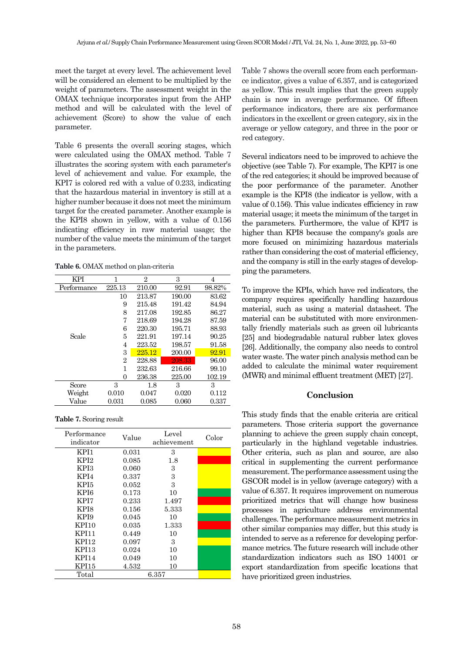meet the target at every level. The achievement level will be considered an element to be multiplied by the weight of parameters. The assessment weight in the OMAX technique incorporates input from the AHP method and will be calculated with the level of achievement (Score) to show the value of each parameter.

Table 6 presents the overall scoring stages, which were calculated using the OMAX method. Table 7 illustrates the scoring system with each parameter's level of achievement and value. For example, the KPI7 is colored red with a value of 0.233, indicating that the hazardous material in inventory is still at a higher number because it does not meet the minimum target for the created parameter. Another example is the KPI8 shown in yellow, with a value of 0.156 indicating efficiency in raw material usage; the number of the value meets the minimum of the target in the parameters.

**Table 6.** OMAX method on plan-criteria

| KPI         | 1      | $\overline{2}$ | 3      | 4      |
|-------------|--------|----------------|--------|--------|
| Performance | 225.13 | 210.00         | 92.91  | 98.82% |
|             | 10     | 213.87         | 190.00 | 83.62  |
|             | 9      | 215.48         | 191.42 | 84.94  |
|             | 8      | 217.08         | 192.85 | 86.27  |
|             | 7      | 218.69         | 194.28 | 87.59  |
|             | 6      | 220.30         | 195.71 | 88.93  |
| Scale       | 5      | 221.91         | 197.14 | 90.25  |
|             | 4      | 223.52         | 198.57 | 91.58  |
|             | 3      | 225.12         | 200.00 | 92.91  |
|             | 2      | 228.88         | 208.33 | 96.00  |
|             | 1      | 232.63         | 216.66 | 99.10  |
|             | 0      | 236.38         | 225.00 | 102.19 |
| Score       | 3      | 1.8            | 3      | 3      |
| Weight      | 0.010  | 0.047          | 0.020  | 0.112  |
| Value       | 0.031  | 0.085          | 0.060  | 0.337  |

**Table 7.** Scoring result

| Performance<br>indicator | Value | Level<br>achievement | Color |
|--------------------------|-------|----------------------|-------|
| KPI1                     | 0.031 | 3                    |       |
| KPI <sub>2</sub>         | 0.085 | 1.8                  |       |
| KPI3                     | 0.060 | 3                    |       |
| KPI4                     | 0.337 | 3                    |       |
| KPI5                     | 0.052 | 3                    |       |
| KPI6                     | 0.173 | 10                   |       |
| KPI7                     | 0.233 | 1.497                |       |
| KPI8                     | 0.156 | 5.333                |       |
| KPI9                     | 0.045 | 10                   |       |
| <b>KPI10</b>             | 0.035 | 1.333                |       |
| KPI11                    | 0.449 | 10                   |       |
| <b>KPI12</b>             | 0.097 | 3                    |       |
| KPI13                    | 0.024 | 10                   |       |
| <b>KPI14</b>             | 0.049 | 10                   |       |
| KPI15                    | 4.532 | 10                   |       |
| Total                    |       | $6.357\,$            |       |

Table 7 shows the overall score from each performance indicator, gives a value of 6.357, and is categorized as yellow. This result implies that the green supply chain is now in average performance. Of fifteen performance indicators, there are six performance indicators in the excellent or green category, six in the average or yellow category, and three in the poor or red category.

Several indicators need to be improved to achieve the objective (see Table 7). For example, The KPI7 is one of the red categories; it should be improved because of the poor performance of the parameter. Another example is the KPI8 (the indicator is yellow, with a value of 0.156). This value indicates efficiency in raw material usage; it meets the minimum of the target in the parameters. Furthermore, the value of KPI7 is higher than KPI8 because the company's goals are more focused on minimizing hazardous materials rather than considering the cost of material efficiency, and the company is still in the early stages of developping the parameters.

To improve the KPIs, which have red indicators, the company requires specifically handling hazardous material, such as using a material datasheet. The material can be substituted with more environmentally friendly materials such as green oil lubricants [\[25\]](#page-6-24) and biodegradable natural rubber latex gloves [\[26\]](#page-7-0). Additionally, the company also needs to control water waste. The water pinch analysis method can be added to calculate the minimal water requirement (MWR) and minimal effluent treatment (MET) [\[27\]](#page-7-1).

## **Conclusion**

This study finds that the enable criteria are critical parameters. Those criteria support the governance planning to achieve the green supply chain concept, particularly in the highland vegetable industries. Other criteria, such as plan and source, are also critical in supplementing the current performance measurement.The performance assessment using the GSCOR model is in yellow (average category) with a value of 6.357. It requires improvement on numerous prioritized metrics that will change how business processes in agriculture address environmental challenges. The performance measurement metrics in other similar companies may differ, but this study is intended to serve as a reference for developing performance metrics. The future research will include other standardization indicators such as ISO 14001 or export standardization from specific locations that have prioritized green industries.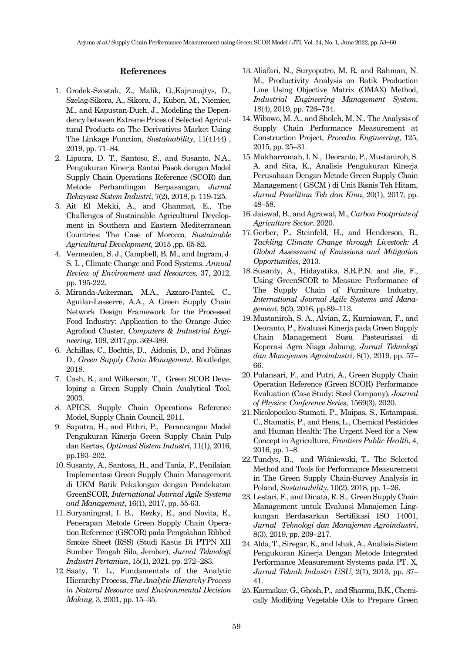### **References**

- <span id="page-6-0"></span>1. Grodek-Szostak, Z., Malik, G.,Kajrunajtys, D., Szelag-Sikora, A., Sikora, J., Kubon, M., Niemiec, M., and Kapustan-Duch, J., Modeling the Dependency between Extreme Prices of Selected Agricultural Products on The Derivatives Market Using The Linkage Function, *Sustainability*, 11(4144) , 2019, pp. 71–84.
- <span id="page-6-1"></span>2. Liputra, D. T., Santoso, S., and Susanto, N.A., Pengukuran Kinerja Rantai Pasok dengan Model Supply Chain Operations Reference (SCOR) dan Metode Perbandingan Berpasangan, *Jurnal Rekayasa Sistem Industri*, 7(2), 2018, p. 119-125.
- <span id="page-6-2"></span>3. Ait El Mekki, A., and Ghanmat, E., The Challenges of Sustainable Agricultural Development in Southern and Eastern Mediterranean Countries: The Case of Morocco, *Sustainable Agricultural Development,* 2015 ,pp. 65-82.
- <span id="page-6-3"></span>4. Vermeulen, S. J., Campbell, B. M., and Ingram, J. S. I. , Climate Change and Food Systems, *Annual Review of Environment and Resources,* 37, 2012, pp. 195-222.
- <span id="page-6-4"></span>5. Miranda-Ackerman, M.A., Azzaro-Pantel, C., Aguilar-Lasserre, A.A., A Green Supply Chain Network Design Framework for the Processed Food Industry: Application to the Orange Juice Agrofood Cluster, *Computers & Industrial Engineering*, 109, 2017,pp. 369-389.
- <span id="page-6-5"></span>6. Achillas, C., Bochtis, D., Aidonis, D., and Folinas D., *Green Supply Chain Management*. Routledge, 2018.
- <span id="page-6-6"></span>7. Cash, R., and Wilkerson, T., Green SCOR Developing a Green Supply Chain Analytical Tool, 2003.
- <span id="page-6-7"></span>8. APICS, Supply Chain Operations Reference Model, Supply Chain Council, 2011.
- <span id="page-6-8"></span>9. Saputra, H., and Fithri, P., Perancangan Model Pengukuran Kinerja Green Supply Chain Pulp dan Kertas, *Optimasi Sistem Industri*, 11(1), 2016, pp.193–202.
- <span id="page-6-9"></span>10.Susanty, A., Santosa, H., and Tania, F., Penilaian Implementasi Green Supply Chain Management di UKM Batik Pekalongan dengan Pendekatan GreenSCOR, *International Journal Agile Systems and Management*, 16(1), 2017, pp. 55-63.
- <span id="page-6-10"></span>11.Suryaningrat, I. B., Rezky, E., and Novita, E., Penerapan Metode Green Supply Chain Operation Reference (GSCOR) pada Pengolahan Ribbed Smoke Sheet (RSS) (Studi Kasus Di PTPN XII Sumber Tengah Silo, Jember), *Jurnal Teknologi Industri Pertanian*, 15(1), 2021, pp. 272–283.
- <span id="page-6-11"></span>12.Saaty, T. L., Fundamentals of the Analytic Hierarchy Process, *The Analytic Hierarchy Process in Natural Resource and Environmental Decision Making,* 3, 2001, pp. 15–35.
- <span id="page-6-12"></span>13.Aliafari, N., Suryoputro, M. R. and Rahman, N. M., Productivity Analysis on Batik Production Line Using Objective Matrix (OMAX) Method, *Industrial Engineering Management System*, 18(4), 2019, pp. 726–734.
- <span id="page-6-13"></span>14.Wibowo, M. A., and Sholeh, M. N., The Analysis of Supply Chain Performance Measurement at Construction Project, *Procedia Engineering*, 125, 2015, pp. 25–31.
- <span id="page-6-14"></span>15.Mukharromah, I. N., Deoranto, P., Mustaniroh, S. A. and Sita, K., Analisis Pengukuran Kinerja Perusahaan Dengan Metode Green Supply Chain Management ( GSCM ) di Unit Bisnis Teh Hitam, *Jurnal Penelitian Teh dan Kina*, 20(1), 2017, pp. 48–58.
- <span id="page-6-17"></span>16.Jaiswal, B., and Agrawal, M., *Carbon Footprints of Agriculture Sector*. 2020.
- <span id="page-6-22"></span>17.Gerber, P., Steinfeld, H., and Henderson, B., *Tackling Climate Change through Livestock: A Global Assessment of Emissions and Mitigation Opportunities*, 2013.
- <span id="page-6-18"></span>18.Susanty, A., Hidayatika, S.R.P.N. and Jie, F., Using GreenSCOR to Measure Performance of The Supply Chain of Furniture Industry, *International Journal Agile Systems and Management*, 9(2), 2016, pp.89–113.
- <span id="page-6-15"></span>19.Mustaniroh, S. A., Alvian, Z., Kurniawan, F., and Deoranto, P., Evaluasi Kinerja pada Green Supply Chain Management Susu Pasteurisasi di Koperasi Agro Niaga Jabung, *Jurnal Teknologi dan Manajemen Agroindustri*, 8(1), 2019, pp. 57– 66.
- <span id="page-6-16"></span>20.Pulansari, F., and Putri, A., Green Supply Chain Operation Reference (Green SCOR) Performance Evaluation (Case Study: Steel Company), *Journal of Physics: Conference Series*, 1569(3), 2020.
- <span id="page-6-19"></span>21.Nicolopoulou-Stamati, P., Maipas, S., Kotampasi, C., Stamatis, P., and Hens, L., Chemical Pesticides and Human Health: The Urgent Need for a New Concept in Agriculture, *Frontiers Public Health*, 4, 2016, pp. 1–8.
- <span id="page-6-20"></span>22.Tundys, B., and Wiśniewski, T., The Selected Method and Tools for Performance Measurement in The Green Supply Chain-Survey Analysis in Poland, *Sustainability*, 10(2), 2018, pp. 1–26.
- <span id="page-6-21"></span>23.Lestari, F., and Dinata, R. S., Green Supply Chain Management untuk Evaluasi Manajemen Lingkungan Berdasarkan Sertifikasi ISO 14001, *Jurnal Teknologi dan Manajemen Agroindustri*, 8(3), 2019, pp. 209–217.
- <span id="page-6-23"></span>24.Alda, T., Siregar, K., and Ishak, A., Analisis Sistem Pengukuran Kinerja Dengan Metode Integrated Performance Measurement Systems pada PT. X, *Jurnal Teknik Industri USU*, 2(1), 2013, pp. 37– 41.
- <span id="page-6-24"></span>25.Karmakar, G., Ghosh, P., and Sharma, B.K., Chemically Modifying Vegetable Oils to Prepare Green